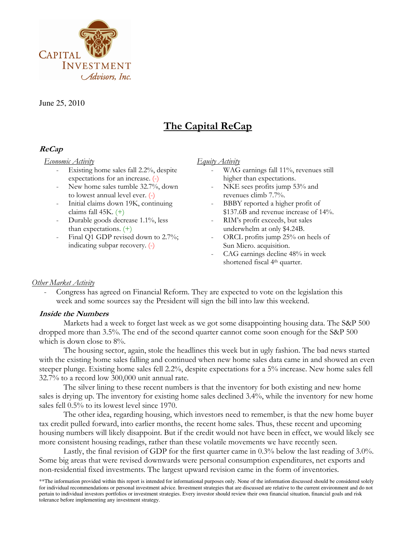

June 25, 2010

# The Capital ReCap

# ReCap

#### Economic Activity

- Existing home sales fall 2.2%, despite expectations for an increase. (-)
- New home sales tumble 32.7%, down to lowest annual level ever. (-)
- Initial claims down 19K, continuing claims fall 45K. (+)
- Durable goods decrease 1.1%, less than expectations. (+)
- Final Q1 GDP revised down to 2.7%; indicating subpar recovery. (-)

#### Equity Activity

- WAG earnings fall 11%, revenues still higher than expectations.
- NKE sees profits jump 53% and revenues climb 7.7%.
- BBBY reported a higher profit of \$137.6B and revenue increase of 14%.
- RIM's profit exceeds, but sales underwhelm at only \$4.24B.
- ORCL profits jump 25% on heels of Sun Micro. acquisition.
- CAG earnings decline 48% in week shortened fiscal 4<sup>th</sup> quarter.

# Other Market Activity

- Congress has agreed on Financial Reform. They are expected to vote on the legislation this week and some sources say the President will sign the bill into law this weekend.

# Inside the Numbers

Markets had a week to forget last week as we got some disappointing housing data. The S&P 500 dropped more than 3.5%. The end of the second quarter cannot come soon enough for the S&P 500 which is down close to  $8\%$ .

The housing sector, again, stole the headlines this week but in ugly fashion. The bad news started with the existing home sales falling and continued when new home sales data came in and showed an even steeper plunge. Existing home sales fell 2.2%, despite expectations for a 5% increase. New home sales fell 32.7% to a record low 300,000 unit annual rate.

The silver lining to these recent numbers is that the inventory for both existing and new home sales is drying up. The inventory for existing home sales declined 3.4%, while the inventory for new home sales fell 0.5% to its lowest level since 1970.

The other idea, regarding housing, which investors need to remember, is that the new home buyer tax credit pulled forward, into earlier months, the recent home sales. Thus, these recent and upcoming housing numbers will likely disappoint. But if the credit would not have been in effect, we would likely see more consistent housing readings, rather than these volatile movements we have recently seen.

Lastly, the final revision of GDP for the first quarter came in 0.3% below the last reading of 3.0%. Some big areas that were revised downwards were personal consumption expenditures, net exports and non-residential fixed investments. The largest upward revision came in the form of inventories.

<sup>\*\*</sup>The information provided within this report is intended for informational purposes only. None of the information discussed should be considered solely for individual recommendations or personal investment advice. Investment strategies that are discussed are relative to the current environment and do not pertain to individual investors portfolios or investment strategies. Every investor should review their own financial situation, financial goals and risk tolerance before implementing any investment strategy.